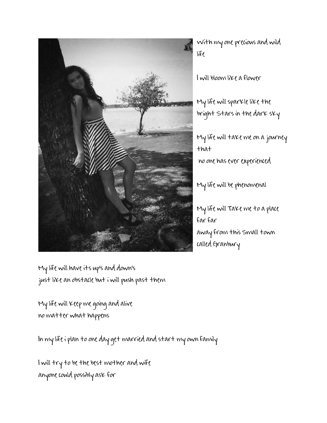

With my one precious and wild life

I will bloom like a flower

My life will sparkle like the bright Stars in the dark sky

My life will take me on a journey that no one has ever experienced

My life will be phenomenal

My life will Take me to a place far far away from this Small town called Granbury

My life will have its up's and down's just like an obstacle but i will push past them

My life will keep me going and alive no matter what happens

In my life i plan to one day get married and start my own family

I will try to be the best mother and wife anyone could possibly ask for